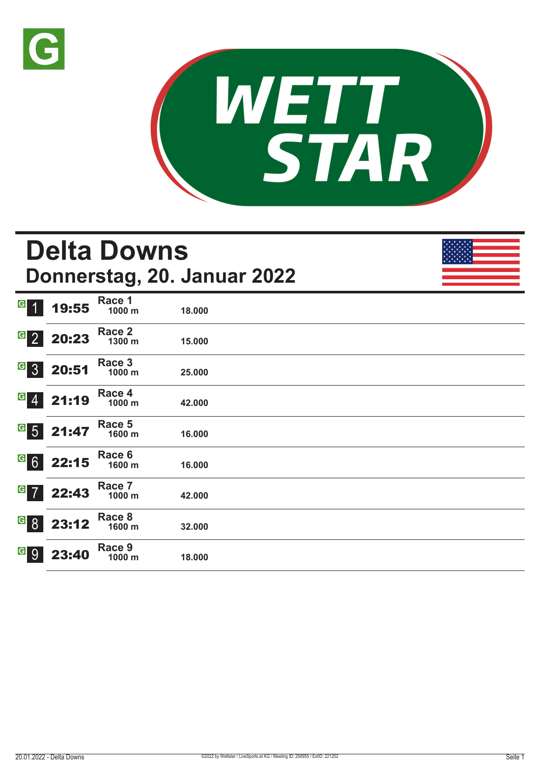



## **Delta Downs Donnerstag, 20. Januar 2022**  $G$  1 19:55 **Race 1 1000 m 18.000**   $^{\circ}$  2 20:23 **Race 2 1300 m 15.000**   $G$  3 20:51 **Race 3 1000 m 25.000**   $G$  4 21:19 **Race 4 1000 m 42.000**   $G = 5$  21:47 **Race 5 1600 m 16.000**   $G$  6 22:15 **Race 6 1600 m 16.000**   $G$  7 22:43 **Race 7 1000 m 42.000**   $8$  23:12 **Race 8 1600 m 32.000**   $9$  23:40 **Race 9 1000 m 18.000**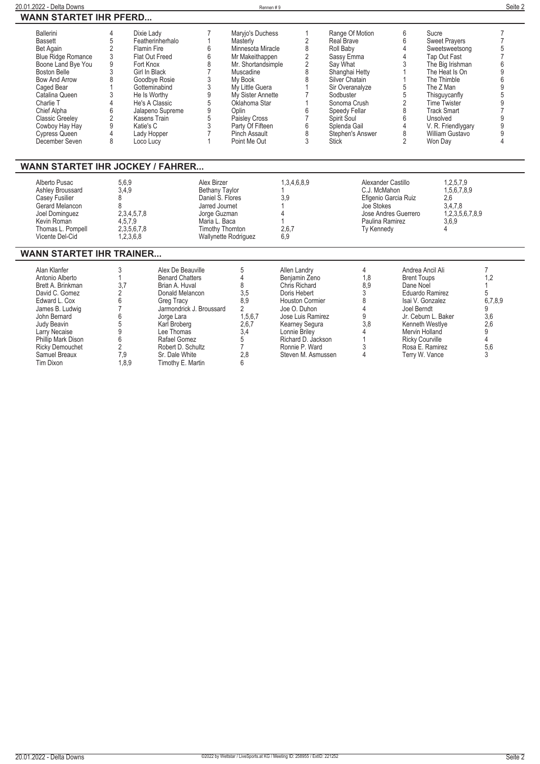### **20.01.2022 - Delta Downs** Rennen # 9 **Seite 2 WANN STARTET IHR PFERD...**

| <b>Ballerini</b>          | Dixie Ladv         | Maryjo's Duchess   | Range Of Motion  | Sucre                |  |
|---------------------------|--------------------|--------------------|------------------|----------------------|--|
| <b>Bassett</b>            | Featherinherhalo   | Masterly           | Real Brave       | <b>Sweet Pravers</b> |  |
| Bet Again                 | <b>Flamin Fire</b> | Minnesota Miracle  | Roll Baby        | Sweetsweetsong       |  |
| <b>Blue Ridge Romance</b> | Flat Out Freed     | Mr Makeithappen    | Sassy Emma       | Tap Out Fast         |  |
| Boone Land Bye You        | Fort Knox          | Mr. Shortandsimple | Sav What         | The Big Irishman     |  |
| <b>Boston Belle</b>       | Girl In Black      | Muscadine          | Shanghai Hetty   | The Heat Is On       |  |
| <b>Bow And Arrow</b>      | Goodbye Rosie      | My Book            | Silver Chatain   | The Thimble          |  |
| Caged Bear                | Gotteminabind      | My Little Guera    | Sir Overanalyze  | The Z Man            |  |
| Catalina Queen            | He Is Worthy       | My Sister Annette  | Sodbuster        | Thisguycanfly        |  |
| Charlie T                 | He's A Classic     | Oklahoma Star      | Sonoma Crush     | <b>Time Twister</b>  |  |
| Chief Alpha               | Jalapeno Supreme   | Oplin              | Speedy Fellar    | <b>Track Smart</b>   |  |
| <b>Classic Greeley</b>    | Kasens Train       | Paisley Cross      | Spirit Soul      | Unsolved             |  |
| Cowboy Hay Hay            | Katie's C          | Party Of Fifteen   | Splenda Gail     | V. R. Friendlygary   |  |
| Cypress Queen             | Lady Hopper        | Pinch Assault      | Stephen's Answer | William Gustavo      |  |
| December Seven            | Loco Lucv          | Point Me Out       | <b>Stick</b>     | Won Dav              |  |
|                           |                    |                    |                  |                      |  |

## **WANN STARTET IHR JOCKEY / FAHRER...**

## **WANN STARTET IHR TRAINER...**

| Alan Klanfer           |      | Alex De Beauville        |         | Allen Landry       |     | Andrea Ancil Ali       |         |
|------------------------|------|--------------------------|---------|--------------------|-----|------------------------|---------|
| Antonio Alberto        |      | <b>Benard Chatters</b>   |         | Beniamin Zeno      | 1.8 | <b>Brent Toups</b>     |         |
| Brett A. Brinkman      |      | Brian A. Huval           |         | Chris Richard      | 8.9 | Dane Noel              |         |
| David C. Gomez         |      | Donald Melancon          | 3.5     | Doris Hebert       |     | Eduardo Ramirez        |         |
| Edward L. Cox          |      | Greg Tracy               | 8.9     | Houston Cormier    |     | Isai V. Gonzalez       | 6,7,8,9 |
| James B. Ludwig        |      | Jarmondrick J. Broussard |         | Joe O. Duhon       |     | Joel Berndt            |         |
| John Bernard           |      | Jorge Lara               | 1,5,6,7 | Jose Luis Ramirez  |     | Jr. Ceburn L. Baker    | 3.6     |
| Judy Beavin            |      | Karl Broberg             | 2,6,7   | Kearnev Segura     | 3.8 | Kenneth Westlve        | 2.6     |
| Larry Necaise          |      | Lee Thomas               | 3.4     | Lonnie Brilev      |     | Mervin Holland         |         |
| Phillip Mark Dison     |      | Rafael Gomez             |         | Richard D. Jackson |     | <b>Ricky Courville</b> |         |
| <b>Ricky Demouchet</b> |      | Robert D. Schultz        |         | Ronnie P. Ward     |     | Rosa E. Ramirez        | 5.6     |
| Samuel Breaux          | 7.9  | Sr. Dale White           | 2.8     | Steven M. Asmussen |     | Terry W. Vance         |         |
| Tim Dixon              | .8.9 | Timothy E. Martin        |         |                    |     |                        |         |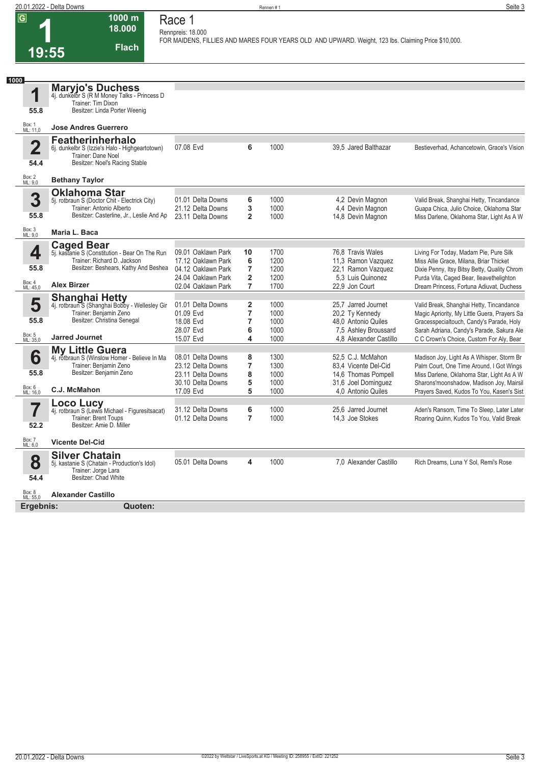**1**

**18.000 Race 1 Rennpreis: 18.000**

**1000 m**

**Flach**

**FOR MAIDENS, FILLIES AND MARES FOUR YEARS OLD AND UPWARD. Weight, 123 lbs. Claiming Price \$10,000.** 

|                                 | 19:55<br>гіасіі                                                                                                                                           |                                                                                  |                                    |                                      |                                                                                                                 |                                                                                                                                                                                                                               |
|---------------------------------|-----------------------------------------------------------------------------------------------------------------------------------------------------------|----------------------------------------------------------------------------------|------------------------------------|--------------------------------------|-----------------------------------------------------------------------------------------------------------------|-------------------------------------------------------------------------------------------------------------------------------------------------------------------------------------------------------------------------------|
|                                 |                                                                                                                                                           |                                                                                  |                                    |                                      |                                                                                                                 |                                                                                                                                                                                                                               |
| 1000<br>1<br>55.8               | <b>Maryjo's Duchess</b><br>4j. dunkelbr S (R M Money Talks - Princess D<br>Trainer: Tim Dixon<br>Besitzer: Linda Porter Weenig                            |                                                                                  |                                    |                                      |                                                                                                                 |                                                                                                                                                                                                                               |
| Box: 1<br>ML: 11,0              | <b>Jose Andres Guerrero</b>                                                                                                                               |                                                                                  |                                    |                                      |                                                                                                                 |                                                                                                                                                                                                                               |
| $\overline{2}$<br>54.4          | <b>Featherinherhalo</b><br>6j. dunkelbr S (Izzie's Halo - Highgeartotown)<br>Trainer: Dane Noel<br>Besitzer: Noel's Racing Stable                         | 07.08 Evd                                                                        | 6                                  | 1000                                 | 39.5 Jared Balthazar                                                                                            | Bestieverhad, Achancetowin, Grace's Vision                                                                                                                                                                                    |
| Box: 2<br>ML: 9,0               | <b>Bethany Taylor</b>                                                                                                                                     |                                                                                  |                                    |                                      |                                                                                                                 |                                                                                                                                                                                                                               |
| 3<br>55.8                       | <b>Oklahoma Star</b><br>5j. rotbraun S (Doctor Chit - Electrick City)<br>Trainer: Antonio Alberto<br>Besitzer: Casterline, Jr., Leslie And Ap             | 01.01 Delta Downs<br>21.12 Delta Downs<br>23.11 Delta Downs                      | 6<br>3<br>$\overline{2}$           | 1000<br>1000<br>1000                 | 4.2 Devin Magnon<br>4,4 Devin Magnon<br>14,8 Devin Magnon                                                       | Valid Break, Shanghai Hetty, Tincandance<br>Guapa Chica, Julio Choice, Oklahoma Star<br>Miss Darlene, Oklahoma Star, Light As A W                                                                                             |
| Box: 3<br>ML: 9,0               | Maria L. Baca                                                                                                                                             |                                                                                  |                                    |                                      |                                                                                                                 |                                                                                                                                                                                                                               |
| 4<br>55.8                       | <b>Caged Bear</b><br>5j. kastanie S (Constitution - Bear On The Run<br>Trainer: Richard D. Jackson<br>Besitzer: Beshears, Kathy And Beshea                | 09.01 Oaklawn Park<br>17.12 Oaklawn Park<br>04.12 Oaklawn Park                   | 10<br>6<br>7                       | 1700<br>1200<br>1200                 | 76,8 Travis Wales<br>11,3 Ramon Vazquez<br>22.1 Ramon Vazquez                                                   | Living For Today, Madam Pie, Pure Silk<br>Miss Allie Grace, Milana, Briar Thicket<br>Dixie Penny, Itsy Bitsy Betty, Quality Chrom                                                                                             |
| Box: 4<br>ML: 45,0              | <b>Alex Birzer</b>                                                                                                                                        | 24.04 Oaklawn Park<br>02.04 Oaklawn Park                                         | $\overline{2}$<br>$\overline{7}$   | 1200<br>1700                         | 5.3 Luis Quinonez<br>22,9 Jon Court                                                                             | Purda Vita, Caged Bear, Ileavethelighton<br>Dream Princess, Fortuna Adiuvat, Duchess                                                                                                                                          |
| 5<br>55.8<br>Box: 5<br>ML: 35,0 | <b>Shanghai Hetty</b><br>4j. rotbraun S (Shanghai Bobby - Wellesley Gir<br>Trainer: Benjamin Zeno<br>Besitzer: Christina Senegal<br><b>Jarred Journet</b> | 01.01 Delta Downs<br>01.09 Evd<br>18.08 Evd<br>28.07 Evd<br>15.07 Evd            | 2<br>$\overline{7}$<br>7<br>6<br>4 | 1000<br>1000<br>1000<br>1000<br>1000 | 25.7 Jarred Journet<br>20,2 Ty Kennedy<br>48.0 Antonio Quiles<br>7,5 Ashley Broussard<br>4.8 Alexander Castillo | Valid Break, Shanghai Hetty, Tincandance<br>Magic Apriority, My Little Guera, Prayers Sa<br>Gracesspecialtouch, Candy's Parade, Holy<br>Sarah Adriana, Candy's Parade, Sakura Ale<br>C C Crown's Choice, Custom For Aly, Bear |
| 6<br>55.8<br>Box: 6<br>ML: 16,0 | <b>My Little Guera</b><br>4j. rotbraun S (Winslow Homer - Believe In Ma<br>Trainer: Benjamin Zeno<br>Besitzer: Benjamin Zeno<br>C.J. McMahon              | 08.01 Delta Downs<br>23.12 Delta Downs<br>23.11 Delta Downs<br>30.10 Delta Downs | 8<br>7<br>8<br>5<br>5              | 1300<br>1300<br>1000<br>1000         | 52.5 C.J. McMahon<br>83,4 Vicente Del-Cid<br>14,6 Thomas Pompell<br>31,6 Joel Dominguez                         | Madison Joy, Light As A Whisper, Storm Br<br>Palm Court, One Time Around, I Got Wings<br>Miss Darlene, Oklahoma Star, Light As A W<br>Sharons'moonshadow, Madison Joy, Mairsil                                                |
| 52.2                            | <b>Loco Lucy</b><br>4j. rotbraun S (Lewis Michael - Figuresitsacat)<br><b>Trainer: Brent Toups</b><br>Besitzer: Amie D. Miller                            | 17.09 Evd<br>31.12 Delta Downs<br>01.12 Delta Downs                              | 6<br>$\overline{7}$                | 1000<br>1000<br>1000                 | 4.0 Antonio Quiles<br>25.6 Jarred Journet<br>14.3 Joe Stokes                                                    | Prayers Saved, Kudos To You, Kasen's Sist<br>Aden's Ransom, Time To Sleep, Later Later<br>Roaring Quinn, Kudos To You, Valid Break                                                                                            |
| Box: 7<br>ML: 6,0               | <b>Vicente Del-Cid</b>                                                                                                                                    |                                                                                  |                                    |                                      |                                                                                                                 |                                                                                                                                                                                                                               |
| 8                               | <b>Silver Chatain</b><br>5j. kastanie S (Chatain - Production's Idol)<br>Troiner: Jerse Lore                                                              | 05.01 Delta Downs                                                                | 4                                  | 1000                                 | 7,0 Alexander Castillo                                                                                          | Rich Dreams, Luna Y Sol, Remi's Rose                                                                                                                                                                                          |

| Box: 8<br>ML: 55.0 | Alexander Castillo |
|--------------------|--------------------|

**Ergebnis: Quoten:**

**54.4**

5j. kastanie S (Chatain - Production's Idol) Trainer: Jorge Lara Besitzer: Chad White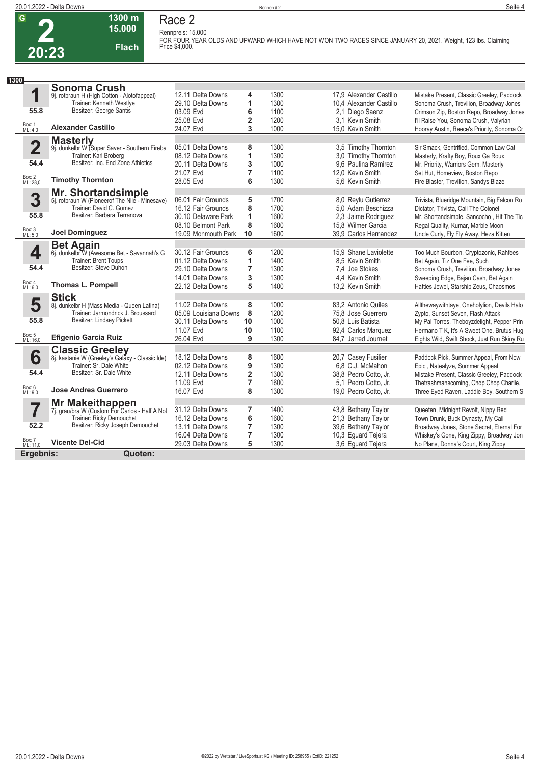**2**

# **Race 2**

**Rennpreis: 15.000**

**1300 m 15.000 Flach**

**FOR FOUR YEAR OLDS AND UPWARD WHICH HAVE NOT WON TWO RACES SINCE JANUARY 20, 2021. Weight, 123 lbs. Claiming Price \$4,000.** 

| 1300                    |                                                                      |                       |                         |      |                         |                                             |
|-------------------------|----------------------------------------------------------------------|-----------------------|-------------------------|------|-------------------------|---------------------------------------------|
|                         | <b>Sonoma Crush</b>                                                  |                       |                         |      |                         |                                             |
| 1                       | 9j. rotbraun H (High Cotton - Alotofappeal)                          | 12.11 Delta Downs     | 4                       | 1300 | 17.9 Alexander Castillo | Mistake Present, Classic Greeley, Paddock   |
|                         | Trainer: Kenneth Westlye                                             | 29.10 Delta Downs     | 1                       | 1300 | 10,4 Alexander Castillo | Sonoma Crush, Trevilion, Broadway Jones     |
| 55.8                    | Besitzer: George Santis                                              | 03.09 Evd             | 6                       | 1100 | 2,1 Diego Saenz         | Crimson Zip, Boston Repo, Broadway Jones    |
|                         |                                                                      | 25.08 Evd             | $\overline{\mathbf{2}}$ | 1200 | 3.1 Kevin Smith         | I'll Raise You, Sonoma Crush, Valyrian      |
| Box: 1<br>ML: 4,0       | <b>Alexander Castillo</b>                                            | 24.07 Evd             | 3                       | 1000 | 15.0 Kevin Smith        | Hooray Austin, Reece's Priority, Sonoma Cr  |
|                         | <b>Masterly</b>                                                      |                       |                         |      |                         |                                             |
| $\overline{\mathbf{2}}$ | 9j. dunkelbr W (Super Saver - Southern Fireba                        | 05.01 Delta Downs     | 8                       | 1300 | 3,5 Timothy Thornton    | Sir Smack, Gentrified, Common Law Cat       |
|                         | Trainer: Karl Broberg                                                | 08.12 Delta Downs     | 1                       | 1300 | 3.0 Timothy Thornton    | Masterly, Krafty Boy, Roux Ga Roux          |
| 54.4                    | Besitzer: Inc. End Zone Athletics                                    | 20.11 Delta Downs     | 3                       | 1000 | 9.6 Paulina Ramirez     | Mr. Priority, Warriors Gem, Masterly        |
|                         |                                                                      | 21.07 Evd             | 7                       | 1100 | 12.0 Kevin Smith        | Set Hut, Homeview, Boston Repo              |
| Box: 2<br>ML: 28,0      | <b>Timothy Thornton</b>                                              | 28.05 Evd             | 6                       | 1300 | 5.6 Kevin Smith         | Fire Blaster, Trevilion, Sandys Blaze       |
|                         | Mr. Shortandsimple<br>5j. rotbraun W (Pioneerof The Nile - Minesave) |                       |                         |      |                         |                                             |
| 3                       |                                                                      | 06.01 Fair Grounds    | 5                       | 1700 | 8.0 Reylu Gutierrez     | Trivista, Blueridge Mountain, Big Falcon Ro |
|                         | Trainer: David C. Gomez                                              | 16.12 Fair Grounds    | 8                       | 1700 | 5.0 Adam Beschizza      | Dictator, Trivista, Call The Colonel        |
| 55.8                    | Besitzer: Barbara Terranova                                          | 30.10 Delaware Park   | 1                       | 1600 | 2,3 Jaime Rodriguez     | Mr. Shortandsimple, Sancocho, Hit The Tic   |
|                         |                                                                      | 08.10 Belmont Park    | 8                       | 1600 | 15.8 Wilmer Garcia      | Regal Quality, Kumar, Marble Moon           |
| Box: 3<br>ML: 5,0       | <b>Joel Dominguez</b>                                                | 19.09 Monmouth Park   | 10                      | 1600 | 39.9 Carlos Hernandez   | Uncle Curly, Fly Fly Away, Heza Kitten      |
|                         | <b>Bet Again</b>                                                     |                       |                         |      |                         |                                             |
| 4                       | 6j. dunkelbr W (Awesome Bet - Savannah's G                           | 30.12 Fair Grounds    | 6                       | 1200 | 15.9 Shane Laviolette   | Too Much Bourbon, Cryptozonic, Rahfees      |
|                         | <b>Trainer: Brent Toups</b>                                          | 01.12 Delta Downs     | 1                       | 1400 | 8.5 Kevin Smith         | Bet Again, Tiz One Fee, Such                |
| 54.4                    | Besitzer: Steve Duhon                                                | 29.10 Delta Downs     | 7                       | 1300 | 7.4 Joe Stokes          | Sonoma Crush, Trevilion, Broadway Jones     |
| Box: 4                  |                                                                      | 14.01 Delta Downs     | 3                       | 1300 | 4.4 Kevin Smith         | Sweeping Edge, Bajan Cash, Bet Again        |
| ML: 6,0                 | <b>Thomas L. Pompell</b>                                             | 22.12 Delta Downs     | 5                       | 1400 | 13.2 Kevin Smith        | Hatties Jewel, Starship Zeus, Chaosmos      |
|                         | <b>Stick</b>                                                         |                       |                         |      |                         |                                             |
| 5                       | 8j. dunkelbr H (Mass Media - Queen Latina)                           | 11.02 Delta Downs     | 8                       | 1000 | 83,2 Antonio Quiles     | Allthewaywithtaye, Oneholylion, Devils Halo |
|                         | Trainer: Jarmondrick J. Broussard                                    | 05.09 Louisiana Downs | 8                       | 1200 | 75.8 Jose Guerrero      | Zypto, Sunset Seven, Flash Attack           |
| 55.8                    | Besitzer: Lindsey Pickett                                            | 30.11 Delta Downs     | 10                      | 1000 | 50.8 Luis Batista       | My Pal Torres, Theboyzdelight, Pepper Prin  |
|                         |                                                                      | 11.07 Evd             | 10                      | 1100 | 92,4 Carlos Marquez     | Hermano T K, It's A Sweet One, Brutus Hug   |
| Box: 5<br>ML: 16,0      | <b>Efigenio Garcia Ruiz</b>                                          | 26.04 Evd             | 9                       | 1300 | 84.7 Jarred Journet     | Eights Wild, Swift Shock, Just Run Skiny Ru |
|                         | <b>Classic Greeley</b>                                               |                       |                         |      |                         |                                             |
| 6                       | 8j. kastanie W (Greeley's Galaxy - Classic Ide)                      | 18.12 Delta Downs     | 8                       | 1600 | 20,7 Casey Fusilier     | Paddock Pick, Summer Appeal, From Now       |
|                         | Trainer: Sr. Dale White                                              | 02.12 Delta Downs     | 9                       | 1300 | 6.8 C.J. McMahon        | Epic, Natealyze, Summer Appeal              |
| 54.4                    | Besitzer: Sr. Dale White                                             | 12.11 Delta Downs     | $\overline{\mathbf{c}}$ | 1300 | 38.8 Pedro Cotto. Jr.   | Mistake Present, Classic Greeley, Paddock   |
|                         |                                                                      | 11.09 Evd             | 7                       | 1600 | 5,1 Pedro Cotto, Jr.    | Thetrashmanscoming, Chop Chop Charlie,      |
| Box: 6<br>ML: 9,0       | <b>Jose Andres Guerrero</b>                                          | 16.07 Evd             | 8                       | 1300 | 19.0 Pedro Cotto. Jr.   | Three Eyed Raven, Laddie Boy, Southern S    |
|                         | <b>Mr Makeithappen</b>                                               |                       |                         |      |                         |                                             |
| 7                       | 7j. grau/bra W (Custom For Carlos - Half A Not                       | 31.12 Delta Downs     | 7                       | 1400 | 43,8 Bethany Taylor     | Queeten, Midnight Revolt, Nippy Red         |
|                         | Trainer: Ricky Demouchet                                             | 16.12 Delta Downs     | 6                       | 1600 | 21,3 Bethany Taylor     | Town Drunk, Buck Dynasty, My Call           |
| 52.2                    | Besitzer: Ricky Joseph Demouchet                                     | 13.11 Delta Downs     | $\overline{7}$          | 1300 | 39,6 Bethany Taylor     | Broadway Jones, Stone Secret, Eternal For   |
|                         | <b>Vicente Del-Cid</b>                                               | 16.04 Delta Downs     | 7                       | 1300 | 10,3 Eguard Tejera      | Whiskey's Gone, King Zippy, Broadway Jon    |
| Box: 7<br>ML: 11,0      |                                                                      | 29.03 Delta Downs     | 5                       | 1300 | 3.6 Equard Tejera       | No Plans, Donna's Court, King Zippy         |
| Ergebnis:               | Quoten:                                                              |                       |                         |      |                         |                                             |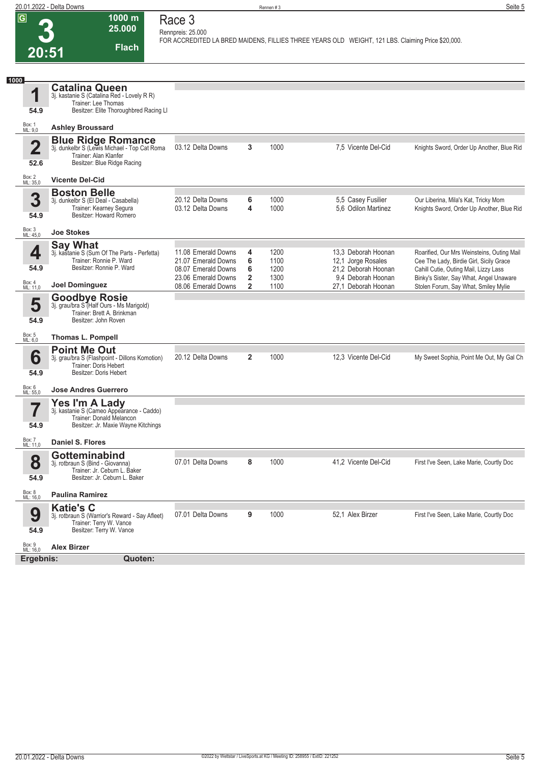**1000 m 25.000** 

**Race 3**

**3 20:51 Flach Rennpreis: 25.000** FOR ACCREDITED LA BRED MAIDENS, FILLIES THREE YEARS OLD WEIGHT, 121 LBS. Claiming Price \$20,000. **1 1000** Box: 1 ML: 9,0 **54.9 Catalina Queen** 3j. kastanie S (Catalina Red - Lovely R R) Trainer: Lee Thomas Besitzer: Elite Thoroughbred Racing Ll **Ashley Broussard 2** Box: 2 ML: 35,0 **52.6 Blue Ridge Romance** 3j. dunkelbr S (Lewis Michael - Top Cat Roma Trainer: Alan Klanfer Besitzer: Blue Ridge Racing **Vicente Del-Cid** 03.12 Delta Downs **3** 1000 7,5 Vicente Del-Cid Knights Sword, Order Up Another, Blue Rid **3** Box: 3 ML: 45,0 **54.9 Boston Belle** 3j. dunkelbr S (El Deal - Casabella) Trainer: Kearney Segura Besitzer: Howard Romero **Joe Stokes** 20.12 Delta Downs **6** 1000 5,5 Casey Fusilier Our Liberina, Mila's Kat, Tricky Mom Knights Sword, Order Up Another, Blue Rid **4** Box: 4 ML: 11,0 **54.9 Say What** 3j. kastanie S (Sum Of The Parts - Perfetta) Trainer: Ronnie P. Ward Besitzer: Ronnie P. Ward **Joel Dominguez** 11.08 Emerald Downs **4** 1200 13,3 Deborah Hoonan Roarified, Our Mrs Weinsteins, Outing Mail<br>12.07 Emerald Downs **6** 1100 12.1 Jorge Rosales Cee The Lady, Birdie Girl, Sicily Grace **6** 1100 12,1 Jorge Rosales Cee The Lady, Birdie Girl, Sicily Grace 08.07 Emerald Downs **6** 1200 21,2 Deborah Hoonan Cahill Cutie, Outing Mail, Lizzy Lass<br>23.06 Emerald Downs 2 1300 9,4 Deborah Hoonan Binky's Sister, Say What, Angel Una 23.06 Emerald Downs **2** 1300 9,4 Deborah Hoonan Binky's Sister, Say What, Angel Unaware<br>1100 27,1 Deborah Hoonan Stolen Forum, Say What, Smiley Mylie 2 1100 27,1 Deborah Hoonan Stolen Forum, Say What, Smiley Mylie **5** Box: 5 ML: 6,0 **54.9 Goodbye Rosie** 3j. grau/bra S (Half Ours - Ms Marigold) Trainer: Brett A. Brinkman Besitzer: John Roven **Thomas L. Pompell 6** Box: 6 ML: 55,0 **54.9 Point Me Out** 3j. grau/bra S (Flashpoint - Dillons Komotion) Trainer: Doris Hebert Besitzer: Doris Hebert **Jose Andres Guerrero** 20.12 Delta Downs **2** 1000 12,3 Vicente Del-Cid My Sweet Sophia, Point Me Out, My Gal Ch **7** Box: 7 ML: 11,0 **54.9 Yes I'm A Lady** 3j. kastanie S (Cameo Appearance - Caddo) Trainer: Donald Melancon Besitzer: Jr. Maxie Wayne Kitchings **Daniel S. Flores 8** Box: 8 ML: 16,0 **54.9 Gotteminabind** 3j. rotbraun S (Bind - Giovanna) Trainer: Jr. Ceburn L. Baker Besitzer: Jr. Ceburn L. Baker **Paulina Ramirez** 07.01 Delta Downs **8** 1000 41,2 Vicente Del-Cid First I've Seen, Lake Marie, Courtly Doc **9** Box: 9 ML: 16,0 **54.9 Katie's C** 3j. rotbraun S (Warrior's Reward - Say Afleet) Trainer: Terry W. Vance Besitzer: Terry W. Vance **Alex Birzer** 07.01 Delta Downs **9** 1000 52.1 Alex Birzer First I've Seen, Lake Marie, Courtly Doc **Ergebnis: Quoten:**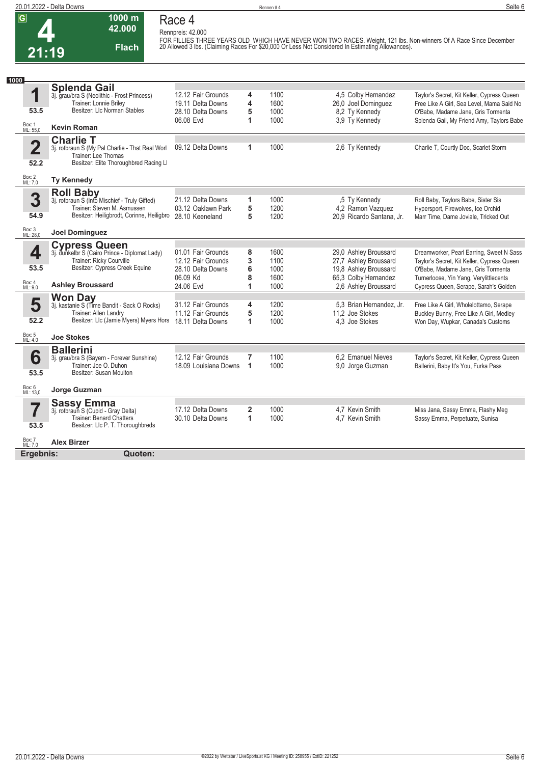## **Race 4 Rennpreis: 42.000**

**1000 m 42.000** 

**Flach**

FOR FILLIES THREE YEARS OLD WHICH HAVE NEVER WON TWO RACES. Weight, 121 lbs. Non-winners Of A Race Since December<br>20 Allowed 3 lbs. (Claiming Races For \$20,000 Or Less Not Considered In Estimating Allowances).

| 1000                            |                                                                                                                                                                |                                                                                        |                       |                                      |                                                                                                                         |                                                                                                                                                                                                                 |
|---------------------------------|----------------------------------------------------------------------------------------------------------------------------------------------------------------|----------------------------------------------------------------------------------------|-----------------------|--------------------------------------|-------------------------------------------------------------------------------------------------------------------------|-----------------------------------------------------------------------------------------------------------------------------------------------------------------------------------------------------------------|
| 1<br>53.5<br>Box: 1<br>ML: 55,0 | <b>Splenda Gail</b><br>3j. grau/bra S (Neolithic - Frost Princess)<br>Trainer: Lonnie Briley<br>Besitzer: Llc Norman Stables<br><b>Kevin Roman</b>             | 12.12 Fair Grounds<br>19.11 Delta Downs<br>28.10 Delta Downs<br>06.08 Evd              | 4<br>4<br>5<br>1      | 1100<br>1600<br>1000<br>1000         | 4,5 Colby Hernandez<br>26,0 Joel Dominguez<br>8.2 Ty Kennedy<br>3.9 Ty Kennedy                                          | Taylor's Secret, Kit Keller, Cypress Queen<br>Free Like A Girl, Sea Level, Mama Said No<br>O'Babe, Madame Jane, Gris Tormenta<br>Splenda Gail, My Friend Amy, Taylors Babe                                      |
|                                 |                                                                                                                                                                |                                                                                        |                       |                                      |                                                                                                                         |                                                                                                                                                                                                                 |
| $\overline{\mathbf{2}}$<br>52.2 | <b>Charlie T</b><br>3j. rotbraun S (My Pal Charlie - That Real Worl<br>Trainer: Lee Thomas<br>Besitzer: Elite Thoroughbred Racing Ll                           | 09.12 Delta Downs                                                                      | 1                     | 1000                                 | 2,6 Ty Kennedy                                                                                                          | Charlie T, Courtly Doc, Scarlet Storm                                                                                                                                                                           |
| Box: 2<br>ML: 7,0               | <b>Ty Kennedy</b>                                                                                                                                              |                                                                                        |                       |                                      |                                                                                                                         |                                                                                                                                                                                                                 |
| 3<br>54.9                       | <b>Roll Baby</b><br>3j. rotbraun S (Into Mischief - Truly Gifted)<br>Trainer: Steven M. Asmussen<br>Besitzer: Heiligbrodt, Corinne, Heiligbro                  | 21.12 Delta Downs<br>03.12 Oaklawn Park<br>28.10 Keeneland                             | 1<br>5<br>5           | 1000<br>1200<br>1200                 | .5 Ty Kennedy<br>4,2 Ramon Vazquez<br>20,9 Ricardo Santana, Jr.                                                         | Roll Baby, Taylors Babe, Sister Sis<br>Hypersport, Firewolves, Ice Orchid<br>Marr Time, Dame Joviale, Tricked Out                                                                                               |
| Box: 3<br>ML: 28,0              | <b>Joel Dominguez</b>                                                                                                                                          |                                                                                        |                       |                                      |                                                                                                                         |                                                                                                                                                                                                                 |
| 4<br>53.5<br>Box: 4             | <b>Cypress Queen</b><br>3j. dunkelbr S (Cairo Prince - Diplomat Lady)<br>Trainer: Ricky Courville<br>Besitzer: Cypress Creek Equine<br><b>Ashley Broussard</b> | 01.01 Fair Grounds<br>12.12 Fair Grounds<br>28.10 Delta Downs<br>06.09 Kd<br>24.06 Evd | 8<br>3<br>6<br>8<br>1 | 1600<br>1100<br>1000<br>1600<br>1000 | 29,0 Ashley Broussard<br>27,7 Ashley Broussard<br>19,8 Ashley Broussard<br>65,3 Colby Hernandez<br>2,6 Ashley Broussard | Dreamworker, Pearl Earring, Sweet N Sass<br>Taylor's Secret, Kit Keller, Cypress Queen<br>O'Babe, Madame Jane, Gris Tormenta<br>Turnerloose, Yin Yang, Verylittlecents<br>Cypress Queen, Serape, Sarah's Golden |
| ML: 9.0                         |                                                                                                                                                                |                                                                                        |                       |                                      |                                                                                                                         |                                                                                                                                                                                                                 |
| 5<br>52.2                       | <b>Won Day</b><br>3j. kastanie S (Time Bandit - Sack O Rocks)<br>Trainer: Allen Landry<br>Besitzer: Llc (Jamie Myers) Myers Hors                               | 31.12 Fair Grounds<br>11.12 Fair Grounds<br>18.11 Delta Downs                          | 4<br>5<br>1           | 1200<br>1200<br>1000                 | 5.3 Brian Hernandez, Jr.<br>11.2 Joe Stokes<br>4.3 Joe Stokes                                                           | Free Like A Girl, Wholelottamo, Serape<br>Buckley Bunny, Free Like A Girl, Medley<br>Won Day, Wupkar, Canada's Customs                                                                                          |
| Box: 5<br>ML: 4,0               | <b>Joe Stokes</b>                                                                                                                                              |                                                                                        |                       |                                      |                                                                                                                         |                                                                                                                                                                                                                 |
| 6<br>53.5                       | <b>Ballerini</b><br>3j. grau/bra S (Bayern - Forever Sunshine)<br>Trainer: Joe O. Duhon<br>Besitzer: Susan Moulton                                             | 12.12 Fair Grounds<br>18.09 Louisiana Downs                                            | 7<br>1                | 1100<br>1000                         | 6.2 Emanuel Nieves<br>9,0 Jorge Guzman                                                                                  | Taylor's Secret, Kit Keller, Cypress Queen<br>Ballerini, Baby It's You, Furka Pass                                                                                                                              |
| Box: 6<br>ML: 13.0              | Jorge Guzman                                                                                                                                                   |                                                                                        |                       |                                      |                                                                                                                         |                                                                                                                                                                                                                 |
| 7<br>53.5                       | <b>Sassy Emma</b><br>3j. rotbraun S (Cupid - Gray Delta)<br><b>Trainer: Benard Chatters</b><br>Besitzer: Llc P. T. Thoroughbreds                               | 17.12 Delta Downs<br>30.10 Delta Downs                                                 | $\overline{2}$<br>1   | 1000<br>1000                         | 4.7 Kevin Smith<br>4.7 Kevin Smith                                                                                      | Miss Jana, Sassy Emma, Flashy Meg<br>Sassy Emma, Perpetuate, Sunisa                                                                                                                                             |
| Box: 7<br>ML: 7,0               | <b>Alex Birzer</b>                                                                                                                                             |                                                                                        |                       |                                      |                                                                                                                         |                                                                                                                                                                                                                 |
| Ergebnis:                       | Quoten:                                                                                                                                                        |                                                                                        |                       |                                      |                                                                                                                         |                                                                                                                                                                                                                 |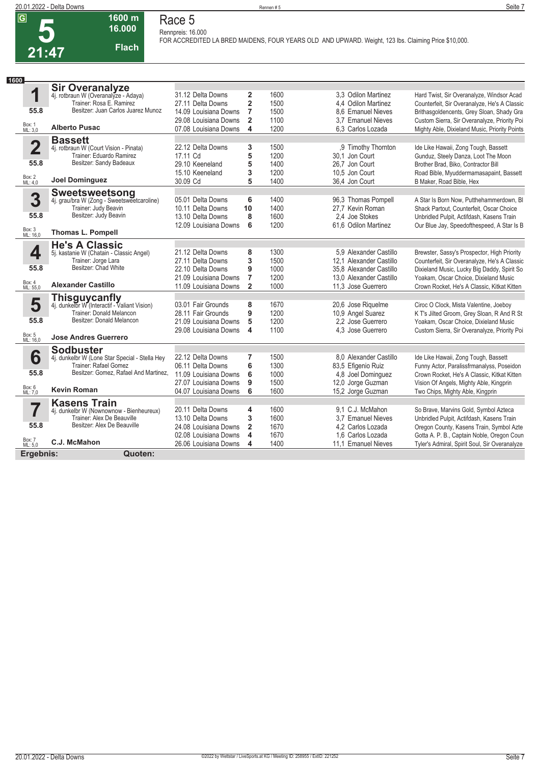| 20.01.2022 - Delta Downs |                  | Rennen#5                                                                                                                            | Seite 7 |
|--------------------------|------------------|-------------------------------------------------------------------------------------------------------------------------------------|---------|
| $\sqrt{G}$<br>_<br>шU.   | 1600 m<br>16.000 | Race 5<br>Rennpreis: 16.000<br>FOR ACCREDITED LA BRED MAIDENS, FOUR YEARS OLD AND UPWARD. Weight, 123 lbs. Claiming Price \$10,000. |         |
| 04.17                    | <b>Flach</b>     |                                                                                                                                     |         |

| 1600               |                                                                      |                                                |                         |              |                                         |                                                                                               |
|--------------------|----------------------------------------------------------------------|------------------------------------------------|-------------------------|--------------|-----------------------------------------|-----------------------------------------------------------------------------------------------|
|                    | <b>Sir Overanalyze</b>                                               |                                                |                         |              |                                         |                                                                                               |
| 1                  | 4j. rotbraun W (Overanalyze - Adaya)                                 | 31.12 Delta Downs                              | $\mathbf{2}$            | 1600         | 3.3 Odilon Martinez                     | Hard Twist, Sir Overanalyze, Windsor Acad                                                     |
| 55.8               | Trainer: Rosa E. Ramirez<br>Besitzer: Juan Carlos Juarez Munoz       | 27.11 Delta Downs                              | $\overline{\mathbf{2}}$ | 1500         | 4.4 Odilon Martinez                     | Counterfeit, Sir Overanalyze, He's A Classic                                                  |
|                    |                                                                      | 14.09 Louisiana Downs                          | $\overline{7}$          | 1500         | 8.6 Emanuel Nieves                      | Brithasgoldencents, Grey Sloan, Shady Gra                                                     |
| Box: 1<br>ML: 3,0  | <b>Alberto Pusac</b>                                                 | 29.08 Louisiana Downs<br>07.08 Louisiana Downs | $\overline{2}$<br>4     | 1100<br>1200 | 3.7 Emanuel Nieves<br>6.3 Carlos Lozada | Custom Sierra, Sir Overanalyze, Priority Poi<br>Mighty Able, Dixieland Music, Priority Points |
|                    | <b>Bassett</b>                                                       |                                                |                         |              |                                         |                                                                                               |
| $\overline{2}$     | 4j. rotbraun W (Court Vision - Pinata)                               | 22.12 Delta Downs                              | 3                       | 1500         | .9 Timothy Thornton                     | Ide Like Hawaii, Zong Tough, Bassett                                                          |
|                    | Trainer: Eduardo Ramirez                                             | 17.11 Cd                                       | 5                       | 1200         | 30.1 Jon Court                          | Gunduz, Steely Danza, Loot The Moon                                                           |
| 55.8               | Besitzer: Sandy Badeaux                                              | 29.10 Keeneland                                | 5                       | 1400         | 26.7 Jon Court                          | Brother Brad, Biko, Contractor Bill                                                           |
| <b>Box: 2</b>      |                                                                      | 15.10 Keeneland                                | 3                       | 1200         | 10.5 Jon Court                          | Road Bible, Myuddermamasapaint, Bassett                                                       |
| ML: 4.0            | <b>Joel Dominguez</b>                                                | 30.09 Cd                                       | 5                       | 1400         | 36.4 Jon Court                          | B Maker, Road Bible, Hex                                                                      |
|                    | Sweetsweetsong                                                       |                                                |                         |              |                                         |                                                                                               |
| 3                  | 4j. grau/bra W (Zong - Sweetsweetcaroline)                           | 05.01 Delta Downs                              | 6                       | 1400         | 96,3 Thomas Pompell                     | A Star Is Born Now, Putthehammerdown, BI                                                      |
| 55.8               | Trainer: Judy Beavin<br>Besitzer: Judy Beavin                        | 10.11 Delta Downs                              | 10                      | 1400         | 27.7 Kevin Roman                        | Shack Partout, Counterfeit, Oscar Choice                                                      |
|                    |                                                                      | 13.10 Delta Downs<br>12.09 Louisiana Downs     | 8<br>6                  | 1600<br>1200 | 2.4 Joe Stokes<br>61,6 Odilon Martinez  | Unbridled Pulpit, Actifdash, Kasens Train                                                     |
| Box: 3<br>ML: 16,0 | <b>Thomas L. Pompell</b>                                             |                                                |                         |              |                                         | Our Blue Jay, Speedofthespeed, A Star Is B                                                    |
|                    | <b>He's A Classic</b>                                                |                                                |                         |              |                                         |                                                                                               |
| 4                  | 5j. kastanie W (Chatain - Classic Angel)                             | 21.12 Delta Downs                              | 8                       | 1300         | 5.9 Alexander Castillo                  | Brewster, Sassy's Prospector, High Priority                                                   |
|                    | Trainer: Jorge Lara                                                  | 27.11 Delta Downs                              | 3                       | 1500         | 12.1 Alexander Castillo                 | Counterfeit, Sir Overanalyze, He's A Classic                                                  |
| 55.8               | Besitzer: Chad White                                                 | 22.10 Delta Downs                              | 9                       | 1000         | 35.8 Alexander Castillo                 | Dixieland Music, Lucky Big Daddy, Spirit So                                                   |
|                    |                                                                      | 21.09 Louisiana Downs                          | $\overline{7}$          | 1200         | 13.0 Alexander Castillo                 | Yoakam, Oscar Choice, Dixieland Music                                                         |
| Box: 4<br>ML: 55,0 | <b>Alexander Castillo</b>                                            | 11.09 Louisiana Downs                          | $\overline{2}$          | 1000         | 11,3 Jose Guerrero                      | Crown Rocket, He's A Classic, Kitkat Kitten                                                   |
|                    |                                                                      |                                                |                         |              |                                         |                                                                                               |
| 5                  | <b>Thisguycanfly</b><br>4j. dunkelbr W (Interactif - Valiant Vision) | 03.01 Fair Grounds                             | 8                       | 1670         | 20,6 Jose Riquelme                      | Ciroc O Clock, Mista Valentine, Joeboy                                                        |
|                    | Trainer: Donald Melancon                                             | 28.11 Fair Grounds                             | 9                       | 1200         | 10,9 Angel Suarez                       | K T's Jilted Groom, Grey Sloan, R And R St                                                    |
| 55.8               | Besitzer: Donald Melancon                                            | 21.09 Louisiana Downs                          | 5                       | 1200         | 2.2 Jose Guerrero                       | Yoakam, Oscar Choice, Dixieland Music                                                         |
| Box: 5<br>ML: 16,0 | <b>Jose Andres Guerrero</b>                                          | 29.08 Louisiana Downs                          | $\overline{\bf{4}}$     | 1100         | 4,3 Jose Guerrero                       | Custom Sierra, Sir Overanalyze, Priority Poi                                                  |
|                    | <b>Sodbuster</b>                                                     |                                                |                         |              |                                         |                                                                                               |
| 6                  | 4j. dunkelbr W (Lone Star Special - Stella Hey                       | 22.12 Delta Downs                              | 7                       | 1500         | 8.0 Alexander Castillo                  | Ide Like Hawaii, Zong Tough, Bassett                                                          |
|                    | <b>Trainer: Rafael Gomez</b>                                         | 06.11 Delta Downs                              | 6                       | 1300         | 83,5 Efigenio Ruiz                      | Funny Actor, Paralissfrmanalyss, Poseidon                                                     |
| 55.8               | Besitzer: Gomez, Rafael And Martinez,                                | 11.09 Louisiana Downs                          | 6                       | 1000         | 4.8 Joel Dominguez                      | Crown Rocket, He's A Classic, Kitkat Kitten                                                   |
| Box: 6             |                                                                      | 27.07 Louisiana Downs                          | 9                       | 1500         | 12,0 Jorge Guzman                       | Vision Of Angels, Mighty Able, Kingprin                                                       |
| ML: 7.0            | <b>Kevin Roman</b>                                                   | 04.07 Louisiana Downs                          | 6                       | 1600         | 15,2 Jorge Guzman                       | Two Chips, Mighty Able, Kingprin                                                              |
| 7                  | <b>Kasens Train</b>                                                  |                                                |                         |              |                                         |                                                                                               |
|                    | 4j. dunkelbr W (Nownownow - Bienheureux)                             | 20.11 Delta Downs                              | 4                       | 1600         | 9.1 C.J. McMahon                        | So Brave, Marvins Gold, Symbol Azteca                                                         |
|                    | Trainer: Alex De Beauville                                           | 13.10 Delta Downs                              | 3                       | 1600         | 3.7 Emanuel Nieves                      | Unbridled Pulpit, Actifdash, Kasens Train                                                     |
| 55.8               | Besitzer: Alex De Beauville                                          | 24.08 Louisiana Downs                          | $\overline{2}$          | 1670         | 4,2 Carlos Lozada                       | Oregon County, Kasens Train, Symbol Azte                                                      |
| Box: 7<br>ML: 5,0  | C.J. McMahon                                                         | 02.08 Louisiana Downs                          | $\overline{\mathbf{4}}$ | 1670         | 1.6 Carlos Lozada                       | Gotta A. P. B., Captain Noble, Oregon Coun                                                    |
|                    |                                                                      | 26.06 Louisiana Downs                          | 4                       | 1400         | 11.1 Emanuel Nieves                     | Tyler's Admiral, Spirit Soul, Sir Overanalyze                                                 |
| Ergebnis:          | Quoten:                                                              |                                                |                         |              |                                         |                                                                                               |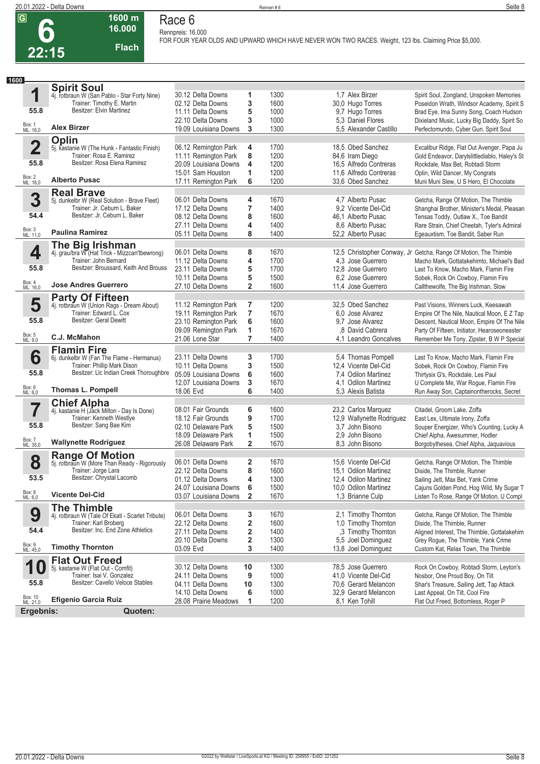**Race 6 Rennpreis: 16.000**

**6 22:15**

## **16.000 Flach**

**1600 m**

**FOR FOUR YEAR OLDS AND UPWARD WHICH HAVE NEVER WON TWO RACES. Weight, 123 lbs. Claiming Price \$5,000.** 

| 1600                           |                                                                          |                                            |                         |              |                                            |                                                                  |
|--------------------------------|--------------------------------------------------------------------------|--------------------------------------------|-------------------------|--------------|--------------------------------------------|------------------------------------------------------------------|
|                                | <b>Spirit Soul</b>                                                       |                                            |                         |              |                                            |                                                                  |
| 1                              | 4j. rotbraun W (San Pablo - Star Forty Nine)                             | 30.12 Delta Downs                          | 1                       | 1300         | 1.7 Alex Birzer                            | Spirit Soul, Zongland, Unspoken Memories                         |
|                                | Trainer: Timothy E. Martin                                               | 02.12 Delta Downs                          | 3                       | 1600         | 30,0 Hugo Torres                           | Poseidon Wrath, Windsor Academy, Spirit S                        |
| 55.8                           | Besitzer: Elvin Martinez                                                 | 11.11 Delta Downs                          | 5                       | 1000         | 9,7 Hugo Torres                            | Brad Eye, Ima Sunny Song, Coach Hudson                           |
|                                |                                                                          | 22.10 Delta Downs                          | 3                       | 1000         | 5.3 Daniel Flores                          | Dixieland Music, Lucky Big Daddy, Spirit So                      |
| Box: 1<br>ML: 16,0             | <b>Alex Birzer</b>                                                       | 19.09 Louisiana Downs                      | 3                       | 1300         | 5,5 Alexander Castillo                     | Perfectomundo, Cyber Gun, Spirit Soul                            |
|                                | Oplin                                                                    |                                            |                         |              |                                            |                                                                  |
| $\overline{\mathbf{2}}$        | 5j. kastanie W (The Hunk - Fantastic Finish)                             | 06.12 Remington Park                       | 4                       | 1700         | 18,5 Obed Sanchez                          | Excalibur Ridge, Flat Out Avenger, Papa Ju                       |
|                                | Trainer: Rosa E. Ramirez                                                 | 11.11 Remington Park                       | 8                       | 1200         | 84,6 Iram Diego                            | Gold Endeavor, Darylslittlediablo, Haley's St                    |
| 55.8                           | Besitzer: Rosa Elena Ramirez                                             | 20.09 Louisiana Downs                      | 4                       | 1200         | 16,5 Alfredo Contreras                     | Rockdale, Max Bet, Robtadi Storm                                 |
|                                |                                                                          | 15.01 Sam Houston                          | 1                       | 1200         | 11.6 Alfredo Contreras                     | Oplin, Wild Dancer, My Congrats                                  |
| Box: 2<br>ML: 16,0             | <b>Alberto Pusac</b>                                                     | 17.11 Remington Park                       | 6                       | 1200         | 33,6 Obed Sanchez                          | Muni Muni Slew, U S Hero, El Chocolate                           |
|                                | <b>Real Brave</b>                                                        |                                            |                         |              |                                            |                                                                  |
| 3                              | 5j. dunkelbr W (Real Solution - Brave Fleet)                             | 06.01 Delta Downs                          | 4                       | 1670         | 4.7 Alberto Pusac                          | Getcha, Range Of Motion, The Thimble                             |
|                                | Trainer: Jr. Ceburn L. Baker                                             | 17.12 Delta Downs                          | 7                       | 1400         | 9.2 Vicente Del-Cid                        | Shanghai Brother, Minister's Medal, Pleasan                      |
| 54.4                           | Besitzer: Jr. Ceburn L. Baker                                            | 08.12 Delta Downs                          | 8                       | 1600         | 46,1 Alberto Pusac                         | Tensas Toddy, Outlaw X., Toe Bandit                              |
|                                |                                                                          | 27.11 Delta Downs                          | 4                       | 1400         | 8.6 Alberto Pusac                          | Rare Strain, Chief Cheetah, Tyler's Admiral                      |
| Box: 3<br>ML: 11,0             | <b>Paulina Ramirez</b>                                                   | 05.11 Delta Downs                          | 8                       | 1400         | 52,2 Alberto Pusac                         | Egeauxtism, Toe Bandit, Saber Run                                |
|                                |                                                                          |                                            |                         |              |                                            |                                                                  |
| 4                              | <b>The Big Irishman</b><br>4j. grau/bra W (Hat Trick - Mizzcan'tbewrong) | 06.01 Delta Downs                          | 8                       | 1670         |                                            | 12,5 Christopher Conway, Jr Getcha, Range Of Motion, The Thimble |
|                                | Trainer: John Bernard                                                    | 11.12 Delta Downs                          | 4                       | 1700         | 4.3 Jose Guerrero                          | Macho Mark, Gottatakehimto, Michael's Bad                        |
| 55.8                           | Besitzer: Broussard, Keith And Brouss                                    | 23.11 Delta Downs                          | 5                       | 1700         | 12,8 Jose Guerrero                         | Last To Know, Macho Mark, Flamin Fire                            |
|                                |                                                                          | 10.11 Delta Downs                          | 5                       | 1500         | 6.2 Jose Guerrero                          | Sobek, Rock On Cowboy, Flamin Fire                               |
| Box: 4<br>ML: 16,0             | <b>Jose Andres Guerrero</b>                                              | 27.10 Delta Downs                          | $\overline{2}$          | 1600         | 11.4 Jose Guerrero                         | Callthewolfe, The Big Irishman, Slow                             |
|                                |                                                                          |                                            |                         |              |                                            |                                                                  |
| 5                              | <b>Party Of Fifteen</b><br>4j. rotbraun W (Union Rags - Dream About)     | 11.12 Remington Park                       | 7                       | 1200         | 32,5 Obed Sanchez                          | Past Visions, Winners Luck, Keesawah                             |
|                                | Trainer: Edward L. Cox                                                   | 19.11 Remington Park                       | $\overline{7}$          | 1670         | 6.0 Jose Alvarez                           | Empire Of The Nile, Nautical Moon, E Z Tap                       |
| 55.8                           | <b>Besitzer: Geral Dewitt</b>                                            | 23.10 Remington Park                       | 6                       | 1600         | 9.7 Jose Alvarez                           | Descent, Nautical Moon, Empire Of The Nile                       |
|                                |                                                                          | 09.09 Remington Park                       | 1                       | 1670         | 8 David Cabrera                            | Party Of Fifteen, Initiator, Hearoseoneaster                     |
| Box: 5<br>ML: 9,0              | C.J. McMahon                                                             | 21.06 Lone Star                            | 7                       | 1400         | 4.1 Leandro Goncalves                      | Remember Me Tony, Zipster, B W P Special                         |
|                                |                                                                          |                                            |                         |              |                                            |                                                                  |
|                                | <b>Flamin Fire</b>                                                       |                                            |                         |              |                                            |                                                                  |
| 6                              | 6j. dunkelbr W (Fan The Flame - Hermanus)<br>Trainer: Phillip Mark Dison | 23.11 Delta Downs                          | 3<br>3                  | 1700<br>1500 | 5,4 Thomas Pompell<br>12,4 Vicente Del-Cid | Last To Know, Macho Mark, Flamin Fire                            |
| 55.8                           | Besitzer: Llc Indian Creek Thoroughbre                                   | 10.11 Delta Downs<br>05.09 Louisiana Downs | 6                       | 1600         |                                            | Sobek, Rock On Cowboy, Flamin Fire                               |
|                                |                                                                          |                                            | 3                       | 1670         | 7,4 Odilon Martinez                        | Thirtysix G's, Rockdale, Les Paul                                |
| Box: 6<br>ML: 6,0              | <b>Thomas L. Pompell</b>                                                 | 12.07 Louisiana Downs<br>18.06 Evd         | 6                       | 1400         | 4.1 Odilon Martinez<br>5,3 Alexis Batista  | U Complete Me, War Rogue, Flamin Fire                            |
|                                |                                                                          |                                            |                         |              |                                            | Run Away Son, Captainontherocks, Secret                          |
|                                | <b>Chief Alpha</b>                                                       |                                            |                         |              |                                            |                                                                  |
| 7                              | 4j. kastanie H (Jack Milton - Day Is Done)                               | 08.01 Fair Grounds                         | 6                       | 1600         | 23,2 Carlos Marquez                        | Citadel, Groom Lake, Zoffa                                       |
| 55.8                           | Trainer: Kenneth Westlye<br>Besitzer: Sang Bae Kim                       | 18.12 Fair Grounds                         | 9                       | 1700         | 12,9 Wallynette Rodriguez                  | East Lex, Ultimate Irony, Zoffa                                  |
|                                |                                                                          | 02.10 Delaware Park                        | 5                       | 1500         | 3.7 John Bisono                            | Souper Energizer, Who's Counting, Lucky A                        |
| Box: 7<br>ML: 35,0             | <b>Wallynette Rodriguez</b>                                              | 18.09 Delaware Park                        | 1                       | 1500         | 2.9 John Bisono                            | Chief Alpha, Awesummer, Hodler                                   |
|                                |                                                                          | 26.08 Delaware Park                        | $\overline{\mathbf{2}}$ | 1670         | 8,3 John Bisono                            | Borgobythesea, Chief Alpha, Jaquavious                           |
|                                | <b>Range Of Motion</b>                                                   |                                            |                         |              |                                            |                                                                  |
| 8                              | 5j. rotbraun W (More Than Ready - Rigorously                             | 06.01 Delta Downs                          | 2                       | 1670         | 15.6 Vicente Del-Cid                       | Getcha, Range Of Motion, The Thimble                             |
| 53.5                           | Trainer: Jorge Lara<br>Besitzer: Chrystal Lacomb                         | 22.12 Delta Downs                          | 8                       | 1600         | 15.1 Odilon Martinez                       | Diside, The Thimble, Runner                                      |
|                                |                                                                          | 01.12 Delta Downs                          | 4                       | 1300         | 12,4 Odilon Martinez                       | Sailing Jett, Max Bet, Yank Crime                                |
| Box: 8<br>ML: 6,0              | <b>Vicente Del-Cid</b>                                                   | 24.07 Louisiana Downs                      | 6                       | 1500         | 10,0 Odilon Martinez                       | Cajuns Golden Pond, Hog Wild, My Sugar T                         |
|                                |                                                                          | 03.07 Louisiana Downs                      | $\mathbf{2}$            | 1670         | 1,3 Brianne Culp                           | Listen To Rose, Range Of Motion, U Compl                         |
|                                | <b>The Thimble</b>                                                       |                                            |                         |              |                                            |                                                                  |
| 9                              | 4j. rotbraun W (Tale Of Ekati - Scarlet Tribute)                         | 06.01 Delta Downs                          | 3                       | 1670         | 2,1 Timothy Thornton                       | Getcha, Range Of Motion, The Thimble                             |
|                                | Trainer: Karl Broberg                                                    | 22.12 Delta Downs                          | 2                       | 1600         | 1,0 Timothy Thornton                       | Diside, The Thimble, Runner                                      |
| 54.4                           | Besitzer: Inc. End Zone Athletics                                        | 27.11 Delta Downs                          | 2                       | 1400         | ,3 Timothy Thornton                        | Aligned Interest, The Thimble, Gottatakehim                      |
|                                |                                                                          | 20.10 Delta Downs                          | 2                       | 1300         | 5,5 Joel Dominguez                         | Grey Rogue, The Thimble, Yank Crime                              |
| Box: 9<br>ML: 45,0             | <b>Timothy Thornton</b>                                                  | 03.09 Evd                                  | 3                       | 1400         | 13,8 Joel Dominguez                        | Custom Kat, Relax Town, The Thimble                              |
|                                | <b>Flat Out Freed</b>                                                    |                                            |                         |              |                                            |                                                                  |
| 1<br>$\boldsymbol{\mathrm{U}}$ | 5j. kastanie W (Flat Out - Comfit)                                       | 30.12 Delta Downs                          | 10                      | 1300         | 78,5 Jose Guerrero                         | Rock On Cowboy, Robtadi Storm, Leyton's                          |
|                                | Trainer: Isai V. Gonzalez                                                | 24.11 Delta Downs                          | 9                       | 1000         | 41.0 Vicente Del-Cid                       | Nosbor, One Proud Boy, On Tilt                                   |
| 55.8                           | Besitzer: Cavello Veloce Stables                                         | 04.11 Delta Downs                          | 10                      | 1300         | 70,6 Gerard Melancon                       | Shar's Treasure, Sailing Jett, Tap Attack                        |
|                                |                                                                          | 14.10 Delta Downs                          | 6                       | 1000         | 32,9 Gerard Melancon                       | Last Appeal, On Tilt, Cool Fire                                  |
| Box: 10<br>ML: 21,0            | <b>Efigenio Garcia Ruiz</b>                                              | 28.08 Prairie Meadows                      | 1                       | 1200         | 8,1 Ken Tohill                             | Flat Out Freed, Bottomless, Roger P                              |
| Ergebnis:                      | Quoten:                                                                  |                                            |                         |              |                                            |                                                                  |
|                                |                                                                          |                                            |                         |              |                                            |                                                                  |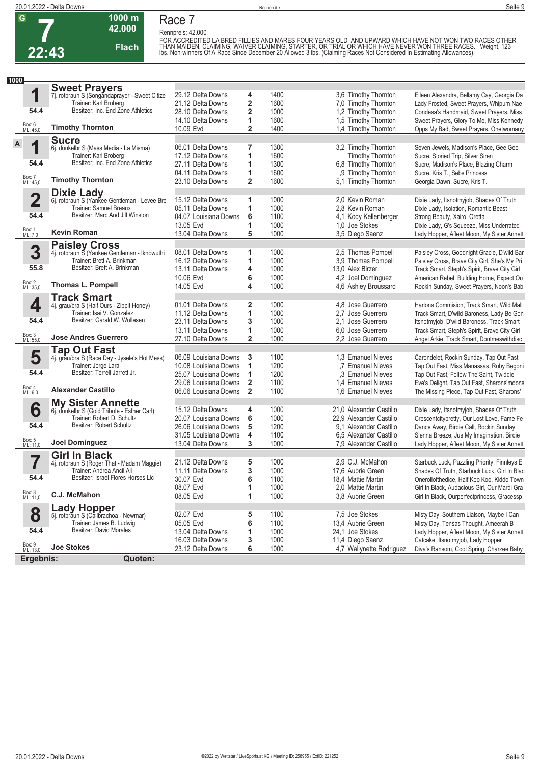

# **Race 7**

**1000 m 42.000** 

**Flach**

**Rennpreis: 42.000**

FOR ACCREDITED LA BRED FILLIES AND MARES FOUR YEARS OLD. AND UPWARD WHICH HAVE NOT WON TWO RACES OTHER<br>THAN MAIDEN, CLAIMING, WAIVER CLAIMING, STARTER, OR TRIAL OR WHICH HAVE NEVER WON THREE RACES. Weight, 123<br>Ibs. Non-w

| 1000                    |                                                                       |                       |                         |      |                          |                                              |
|-------------------------|-----------------------------------------------------------------------|-----------------------|-------------------------|------|--------------------------|----------------------------------------------|
|                         | <b>Sweet Prayers</b><br>7j. rotbraun S (Songandaprayer - Sweet Citize |                       |                         |      |                          |                                              |
| 1                       |                                                                       | 29.12 Delta Downs     | 4                       | 1400 | 3,6 Timothy Thornton     | Eileen Alexandra, Bellamy Cay, Georgia Da    |
|                         | Trainer: Karl Broberg                                                 | 21.12 Delta Downs     | 2                       | 1600 | 7,0 Timothy Thornton     | Lady Frosted, Sweet Prayers, Whipum Nae      |
| 54.4                    | Besitzer: Inc. End Zone Athletics                                     | 28.10 Delta Downs     | $\overline{\mathbf{c}}$ | 1000 | 1,2 Timothy Thornton     | Condesa's Handmaid, Sweet Prayers, Miss      |
|                         |                                                                       | 14.10 Delta Downs     | 1                       | 1600 | 1,5 Timothy Thornton     | Sweet Prayers, Glory To Me, Miss Kennedy     |
| Box: 6<br>ML: 45,0      | <b>Timothy Thornton</b>                                               | 10.09 Evd             | $\overline{2}$          | 1400 | 1,4 Timothy Thornton     | Opps My Bad, Sweet Prayers, Onetwomany       |
|                         | <b>Sucre</b>                                                          |                       |                         |      |                          |                                              |
| A<br>4                  | 6j. dunkelbr S (Mass Media - La Misma)                                | 06.01 Delta Downs     | 7                       | 1300 | 3,2 Timothy Thornton     | Seven Jewels, Madison's Place, Gee Gee       |
|                         | Trainer: Karl Broberg                                                 | 17.12 Delta Downs     | 1                       | 1600 | Timothy Thornton         | Sucre, Storied Trip, Silver Siren            |
| 54.4                    | Besitzer: Inc. End Zone Athletics                                     | 27.11 Delta Downs     | 1                       | 1300 | 6,8 Timothy Thornton     | Sucre, Madison's Place, Blazing Charm        |
|                         |                                                                       | 04.11 Delta Downs     | 1                       | 1600 | ,9 Timothy Thornton      | Sucre, Kris T., Sebs Princess                |
| Box: 7<br>ML: 45,0      | <b>Timothy Thornton</b>                                               | 23.10 Delta Downs     | $\overline{2}$          | 1600 | 5,1 Timothy Thornton     | Georgia Dawn, Sucre, Kris T.                 |
|                         | <b>Dixie Lady</b>                                                     |                       |                         |      |                          |                                              |
| $\overline{\mathbf{2}}$ | 6j. rotbraun S (Yankee Gentleman - Levee Bre                          | 15.12 Delta Downs     | 1                       | 1000 | 2.0 Kevin Roman          | Dixie Lady, Itsnotmyjob, Shades Of Truth     |
|                         | Trainer: Samuel Breaux                                                | 05.11 Delta Downs     | 1                       | 1000 | 2.8 Kevin Roman          | Dixie Lady, Isolation, Romantic Beast        |
| 54.4                    | Besitzer: Marc And Jill Winston                                       | 04.07 Louisiana Downs | 6                       | 1100 | 4,1 Kody Kellenberger    | Strong Beauty, Xairo, Oretta                 |
|                         |                                                                       | 13.05 Evd             | 1                       | 1000 | 1.0 Joe Stokes           | Dixie Lady, G's Squeeze, Miss Underrated     |
| Box: 1<br>ML: 7,0       | Kevin Roman                                                           | 13.04 Delta Downs     | 5                       | 1000 | 3,5 Diego Saenz          | Lady Hopper, Afleet Moon, My Sister Annett   |
|                         | <b>Paisley Cross</b>                                                  |                       |                         |      |                          |                                              |
| 3                       | 4j. rotbraun S (Yankee Gentleman - Iknowuthi                          | 08.01 Delta Downs     | 1                       | 1000 | 2.5 Thomas Pompell       | Paisley Cross, Goodnight Gracie, D'wild Bar  |
|                         | Trainer: Brett A. Brinkman                                            | 16.12 Delta Downs     | 1                       | 1000 | 3.9 Thomas Pompell       | Paisley Cross, Brave City Girl, She's My Pri |
| 55.8                    | Besitzer: Brett A. Brinkman                                           | 13.11 Delta Downs     | 4                       | 1000 | 13,0 Alex Birzer         | Track Smart, Steph's Spirit, Brave City Girl |
|                         |                                                                       | 10.06 Evd             | 6                       | 1000 | 4,2 Joel Dominguez       | American Rebel, Building Home, Expect Ou     |
| Box: 2<br>ML: 35,0      | Thomas L. Pompell                                                     | 14.05 Evd             | 4                       | 1000 | 4,6 Ashley Broussard     | Rockin Sunday, Sweet Prayers, Noon's Bab     |
|                         | <b>Track Smart</b>                                                    |                       |                         |      |                          |                                              |
| 4                       | 4j. grau/bra S (Half Ours - Zippit Honey)                             | 01.01 Delta Downs     | 2                       | 1000 | 4.8 Jose Guerrero        | Harlons Commision, Track Smart, Wild Mall    |
|                         | Trainer: Isai V. Gonzalez                                             | 11.12 Delta Downs     | 1                       | 1000 | 2.7 Jose Guerrero        | Track Smart, D'wild Baroness, Lady Be Gon    |
| 54.4                    | Besitzer: Garald W. Wollesen                                          | 23.11 Delta Downs     | 3                       | 1000 | 2.1 Jose Guerrero        | Itsnotmyjob, D'wild Baroness, Track Smart    |
|                         |                                                                       | 13.11 Delta Downs     | 1                       | 1000 | 6.0 Jose Guerrero        | Track Smart, Steph's Spirit, Brave City Girl |
| Box: 3<br>ML: 55,0      | <b>Jose Andres Guerrero</b>                                           | 27.10 Delta Downs     | $\overline{2}$          | 1000 | 2.2 Jose Guerrero        | Angel Arkie, Track Smart, Dontmeswithdisc    |
|                         | <b>Tap Out Fast</b>                                                   |                       |                         |      |                          |                                              |
| 5                       | 4j. grau/bra S (Race Day - Jysele's Hot Mess)                         | 06.09 Louisiana Downs | 3                       | 1100 | 1.3 Emanuel Nieves       | Carondelet, Rockin Sunday, Tap Out Fast      |
|                         | Trainer: Jorge Lara                                                   | 10.08 Louisiana Downs | 1                       | 1200 | .7 Emanuel Nieves        | Tap Out Fast, Miss Manassas, Ruby Begoni     |
| 54.4                    | Besitzer: Terrell Jarrett Jr.                                         | 25.07 Louisiana Downs | 1                       | 1200 | .3 Emanuel Nieves        | Tap Out Fast, Follow The Saint, Twiddle      |
|                         |                                                                       | 29.06 Louisiana Downs | $\overline{\mathbf{2}}$ | 1100 | 1.4 Emanuel Nieves       | Eve's Delight, Tap Out Fast, Sharons'moons   |
| Box: 4<br>ML: 6,0       | <b>Alexander Castillo</b>                                             | 06.06 Louisiana Downs | $\overline{2}$          | 1100 | 1.6 Emanuel Nieves       | The Missing Piece, Tap Out Fast, Sharons'    |
|                         | <b>My Sister Annette</b>                                              |                       |                         |      |                          |                                              |
| 6                       | 6j. dunkelbr S (Gold Tribute - Esther Carl)                           | 15.12 Delta Downs     | 4                       | 1000 | 21,0 Alexander Castillo  | Dixie Lady, Itsnotmyjob, Shades Of Truth     |
|                         | Trainer: Robert D. Schultz                                            | 20.07 Louisiana Downs | 6                       | 1000 | 22,9 Alexander Castillo  | Crescentcitypretty, Our Lost Love, Fame Fe   |
| 54.4                    | Besitzer: Robert Schultz                                              | 26.06 Louisiana Downs | 5                       | 1200 | 9.1 Alexander Castillo   | Dance Away, Birdie Call, Rockin Sunday       |
|                         |                                                                       | 31.05 Louisiana Downs | 4                       | 1100 | 6.5 Alexander Castillo   | Sienna Breeze, Jus My Imagination, Birdie    |
| Box: 5<br>ML: 11,0      | <b>Joel Dominguez</b>                                                 | 13.04 Delta Downs     | 3                       | 1000 | 7,9 Alexander Castillo   | Lady Hopper, Afleet Moon, My Sister Annett   |
|                         | <b>Girl In Black</b>                                                  |                       |                         |      |                          |                                              |
|                         | 4j. rotbraun S (Roger That - Madam Maggie)                            | 21.12 Delta Downs     | 5                       | 1000 | 2.9 C.J. McMahon         | Starbuck Luck, Puzzling Priority, Finnleys E |
|                         | Trainer: Andrea Ancil Ali                                             | 11.11 Delta Downs     | 3                       | 1000 | 17,6 Aubrie Green        | Shades Of Truth, Starbuck Luck, Girl In Blac |
| 54.4                    | Besitzer: Israel Flores Horses Llc                                    | 30.07 Evd             | 6                       | 1100 | 18,4 Mattie Martin       | Onerollofthedice, Half Koo Koo, Kiddo Town   |
|                         |                                                                       | 08.07 Evd             | 1                       | 1000 | 2,0 Mattie Martin        | Girl In Black, Audacious Girl, Our Mardi Gra |
| Box: 8<br>ML: 11,0      | C.J. McMahon                                                          | 08.05 Evd             | 1                       | 1000 | 3.8 Aubrie Green         | Girl In Black, Ourperfectprincess, Gracessp  |
|                         | <b>Lady Hopper</b><br>5j. rotbraun S (Calibrachoa - Newmar)           |                       |                         |      |                          |                                              |
| 8                       |                                                                       | 02.07 Evd             | 5                       | 1100 | 7,5 Joe Stokes           | Misty Day, Southern Liaison, Maybe I Can     |
|                         | Trainer: James B. Ludwig                                              | 05.05 Evd             | 6                       | 1100 | 13,4 Aubrie Green        | Misty Day, Tensas Thought, Ameerah B         |
| 54.4                    | Besitzer: David Morales                                               | 13.04 Delta Downs     | 1                       | 1000 | 24,1 Joe Stokes          | Lady Hopper, Afleet Moon, My Sister Annett   |
|                         |                                                                       | 16.03 Delta Downs     | 3                       | 1000 | 11,4 Diego Saenz         | Catcake, Itsnotmyjob, Lady Hopper            |
| Box: 9<br>ML: 13,0      | <b>Joe Stokes</b>                                                     | 23.12 Delta Downs     | 6                       | 1000 | 4,7 Wallynette Rodriguez | Diva's Ransom, Cool Spring, Charzee Baby     |
| Ergebnis:               | Quoten:                                                               |                       |                         |      |                          |                                              |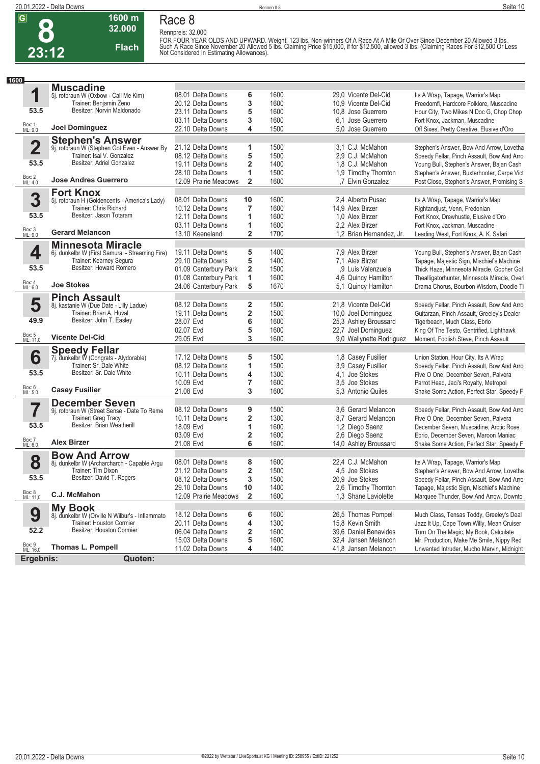

## **1600 m Race 8**

**32.000 Flach**

**Rennpreis: 32.000** FOR FOUR YEAR OLDS AND UPWARD. Weight, 123 lbs. Non-winners Of A Race At A Mile Or Over Since December 20 Allowed 3 lbs.<br>Such A Race Since November 20 Allowed 5 lbs. Claiming Price \$15,000, if for \$12,500, allowed 3 lbs. (

| 1600                    |                                                                           |                                        |                         |              |                                              |                                                                                   |
|-------------------------|---------------------------------------------------------------------------|----------------------------------------|-------------------------|--------------|----------------------------------------------|-----------------------------------------------------------------------------------|
|                         | <b>Muscadine</b>                                                          |                                        |                         |              |                                              |                                                                                   |
| 1                       | 5j. rotbraun W (Oxbow - Call Me Kim)                                      | 08.01 Delta Downs                      | 6                       | 1600         | 29,0 Vicente Del-Cid                         | Its A Wrap, Tapage, Warrior's Map                                                 |
|                         | Trainer: Benjamin Zeno                                                    | 20.12 Delta Downs                      | 3                       | 1600         | 10,9 Vicente Del-Cid                         | Freedomfi, Hardcore Folklore, Muscadine                                           |
| 53.5                    | Besitzer: Norvin Maldonado                                                | 23.11 Delta Downs                      | 5                       | 1600         | 10.8 Jose Guerrero                           | Hour City, Two Mikes N Doc G, Chop Chop                                           |
|                         |                                                                           | 03.11 Delta Downs                      | 3                       | 1600         | 6.1 Jose Guerrero                            | Fort Knox, Jackman, Muscadine                                                     |
| Box: 1<br>ML: 9,0       | <b>Joel Dominguez</b>                                                     | 22.10 Delta Downs                      | 4                       | 1500         | 5,0 Jose Guerrero                            | Off Sixes, Pretty Creative, Elusive d'Oro                                         |
|                         |                                                                           |                                        |                         |              |                                              |                                                                                   |
| $\overline{\mathbf{2}}$ | <b>Stephen's Answer</b>                                                   | 21.12 Delta Downs                      | 1                       | 1500         | 3,1 C.J. McMahon                             |                                                                                   |
|                         | 9j. rotbraun W (Stephen Got Even - Answer By<br>Trainer: Isai V. Gonzalez |                                        |                         |              |                                              | Stephen's Answer, Bow And Arrow, Lovetha                                          |
| 53.5                    | Besitzer: Adriel Gonzalez                                                 | 08.12 Delta Downs                      | 5                       | 1500         | 2,9 C.J. McMahon                             | Speedy Fellar, Pinch Assault, Bow And Arro                                        |
|                         |                                                                           | 19.11 Delta Downs                      | 2                       | 1400         | 1.8 C.J. McMahon                             | Young Bull, Stephen's Answer, Bajan Cash                                          |
| Box: 2<br>ML: 4,0       | <b>Jose Andres Guerrero</b>                                               | 28.10 Delta Downs                      | 1                       | 1500         | 1,9 Timothy Thornton                         | Stephen's Answer, Buxterhooter, Carpe Vict                                        |
|                         |                                                                           | 12.09 Prairie Meadows                  | $\overline{2}$          | 1600         | .7 Elvin Gonzalez                            | Post Close, Stephen's Answer, Promising S                                         |
|                         | <b>Fort Knox</b>                                                          |                                        |                         |              |                                              |                                                                                   |
| 3                       | 5j. rotbraun H (Goldencents - America's Lady)                             | 08.01 Delta Downs                      | 10                      | 1600         | 2.4 Alberto Pusac                            | Its A Wrap, Tapage, Warrior's Map                                                 |
|                         | Trainer: Chris Richard                                                    | 10.12 Delta Downs                      | 7                       | 1600         | 14,9 Alex Birzer                             | Rightandjust, Venn, Fredonian                                                     |
| 53.5                    | Besitzer: Jason Totaram                                                   | 12.11 Delta Downs                      | 1                       | 1600         | 1.0 Alex Birzer                              | Fort Knox, Drewhustle, Elusive d'Oro                                              |
|                         |                                                                           | 03.11 Delta Downs                      | 1                       | 1600         | 2.2 Alex Birzer                              | Fort Knox, Jackman, Muscadine                                                     |
| Box: 3<br>ML: 9,0       | <b>Gerard Melancon</b>                                                    | 13.10 Keeneland                        | 2                       | 1700         | 1,2 Brian Hernandez, Jr.                     | Leading West, Fort Knox, A. K. Safari                                             |
|                         | <b>Minnesota Miracle</b>                                                  |                                        |                         |              |                                              |                                                                                   |
| 4                       | 6j. dunkelbr W (First Samurai - Streaming Fire)                           | 19.11 Delta Downs                      | 5                       | 1400         | 7,9 Alex Birzer                              | Young Bull, Stephen's Answer, Bajan Cash                                          |
|                         | Trainer: Kearney Segura                                                   | 29.10 Delta Downs                      | 5                       | 1400         | 7.1 Alex Birzer                              | Tapage, Majestic Sign, Mischief's Machine                                         |
| 53.5                    | Besitzer: Howard Romero                                                   | 01.09 Canterbury Park                  | $\overline{2}$          | 1500         | ,9 Luis Valenzuela                           | Thick Haze, Minnesota Miracle, Gopher Gol                                         |
|                         |                                                                           | 01.08 Canterbury Park                  | 1                       | 1600         | 4,6 Quincy Hamilton                          | Thealligatorhunter, Minnesota Miracle, Over                                       |
| Box: 4<br>ML: 6,0       | <b>Joe Stokes</b>                                                         | 24.06 Canterbury Park                  | 5                       | 1670         | 5,1 Quincy Hamilton                          | Drama Chorus, Bourbon Wisdom, Doodle Ti                                           |
|                         | <b>Pinch Assault</b>                                                      |                                        |                         |              |                                              |                                                                                   |
| 5                       | 8j. kastanie W (Due Date - Lilly Ladue)                                   | 08.12 Delta Downs                      | 2                       | 1500         | 21,8 Vicente Del-Cid                         | Speedy Fellar, Pinch Assault, Bow And Arro                                        |
|                         | Trainer: Brian A. Huval                                                   | 19.11 Delta Downs                      | $\overline{\mathbf{2}}$ | 1500         | 10,0 Joel Dominguez                          | Guitarzan, Pinch Assault, Greeley's Dealer                                        |
| 49.9                    | Besitzer: John T. Easley                                                  | 28.07 Evd                              | 6                       | 1600         | 25,3 Ashley Broussard                        | Tigerbeach, Much Class, Ebrio                                                     |
|                         |                                                                           | 02.07 Evd                              | 5                       | 1600         | 22.7 Joel Dominguez                          | King Of The Testo, Gentrified, Lighthawk                                          |
| Box: 5<br>ML: 11,0      | <b>Vicente Del-Cid</b>                                                    | 29.05 Evd                              | 3                       | 1600         | 9,0 Wallynette Rodriguez                     | Moment, Foolish Steve, Pinch Assault                                              |
|                         |                                                                           |                                        |                         |              |                                              |                                                                                   |
|                         | <b>Speedy Fellar</b>                                                      |                                        |                         |              |                                              |                                                                                   |
| 6                       | 7j. dunkelbr W (Congrats - Alydorable)<br>Trainer: Sr. Dale White         | 17.12 Delta Downs                      | 5                       | 1500         | 1,8 Casey Fusilier                           | Union Station, Hour City, Its A Wrap                                              |
|                         | Besitzer: Sr. Dale White                                                  | 08.12 Delta Downs                      | 1                       | 1500         | 3,9 Casey Fusilier                           | Speedy Fellar, Pinch Assault, Bow And Arro                                        |
| 53.5                    |                                                                           | 10.11 Delta Downs                      | 4                       | 1300         | 4.1 Joe Stokes                               | Five O One, December Seven, Palvera                                               |
|                         |                                                                           | 10.09 Evd                              | 7                       | 1600         | 3.5 Joe Stokes                               | Parrot Head, Jaci's Royalty, Metropol                                             |
| Box: 6<br>ML: 5,0       | <b>Casey Fusilier</b>                                                     | 21.08 Evd                              | 3                       | 1600         | 5.3 Antonio Quiles                           | Shake Some Action, Perfect Star, Speedy F                                         |
|                         | <b>December Seven</b>                                                     |                                        |                         |              |                                              |                                                                                   |
|                         | 9j. rotbraun W (Street Sense - Date To Reme                               | 08.12 Delta Downs                      | 9                       | 1500         | 3.6 Gerard Melancon                          | Speedy Fellar, Pinch Assault, Bow And Arro                                        |
|                         | Trainer: Greg Tracy                                                       | 10.11 Delta Downs                      | $\overline{\mathbf{2}}$ | 1300         | 8.7 Gerard Melancon                          | Five O One, December Seven, Palvera                                               |
| 53.5                    | Besitzer: Brian Weatherill                                                | 18.09 Evd                              | 1                       | 1600         | 1,2 Diego Saenz                              | December Seven, Muscadine, Arctic Rose                                            |
|                         |                                                                           | 03.09 Evd                              | 2                       | 1600         | 2,6 Diego Saenz                              | Ebrio, December Seven, Maroon Maniac                                              |
| Box: 7<br>ML: 6,0       | <b>Alex Birzer</b>                                                        | 21.08 Evd                              | 6                       | 1600         | 14,0 Ashley Broussard                        | Shake Some Action, Perfect Star, Speedy F                                         |
|                         | <b>Bow And Arrow</b>                                                      |                                        |                         |              |                                              |                                                                                   |
| 8                       | 8j. dunkelbr W (Archarcharch - Capable Argu                               | 08.01 Delta Downs                      | 8                       | 1600         | 22,4 C.J. McMahon                            | Its A Wrap, Tapage, Warrior's Map                                                 |
|                         | Trainer: Tim Dixon                                                        | 21.12 Delta Downs                      | $\overline{\mathbf{2}}$ | 1500         | 4.5 Joe Stokes                               | Stephen's Answer, Bow And Arrow, Lovetha                                          |
| 53.5                    | Besitzer: David T. Rogers                                                 | 08.12 Delta Downs                      | 3                       | 1500         | 20,9 Joe Stokes                              | Speedy Fellar, Pinch Assault, Bow And Arro                                        |
|                         |                                                                           | 29.10 Delta Downs                      | 10                      | 1400         | 2,6 Timothy Thornton                         | Tapage, Majestic Sign, Mischief's Machine                                         |
| Box: 8<br>ML: 11,0      | C.J. McMahon                                                              | 12.09 Prairie Meadows                  | $\overline{2}$          | 1600         | 1,3 Shane Laviolette                         | Marquee Thunder, Bow And Arrow, Downto                                            |
|                         | <b>My Book</b>                                                            |                                        |                         |              |                                              |                                                                                   |
| 9                       | 8j. dunkelbr W (Orville N Wilbur's - Inflammato                           | 18.12 Delta Downs                      | 6                       | 1600         | 26,5 Thomas Pompell                          | Much Class, Tensas Toddy, Greeley's Deal                                          |
|                         | Trainer: Houston Cormier                                                  | 20.11 Delta Downs                      | 4                       | 1300         | 15,8 Kevin Smith                             | Jazz It Up, Cape Town Willy, Mean Cruiser                                         |
| 52.2                    | Besitzer: Houston Cormier                                                 | 06.04 Delta Downs                      | $\overline{\mathbf{2}}$ | 1600         | 39,6 Daniel Benavides                        |                                                                                   |
|                         |                                                                           |                                        |                         |              |                                              | Turn On The Magic, My Book, Calculate<br>Mr. Production, Make Me Smile, Nippy Red |
| Box: 9<br>ML: 16,0      | <b>Thomas L. Pompell</b>                                                  | 15.03 Delta Downs<br>11.02 Delta Downs | 5<br>4                  | 1600<br>1400 | 32,4 Jansen Melancon<br>41,8 Jansen Melancon | Unwanted Intruder, Mucho Marvin, Midnight                                         |
|                         |                                                                           |                                        |                         |              |                                              |                                                                                   |
| Ergebnis:               | Quoten:                                                                   |                                        |                         |              |                                              |                                                                                   |